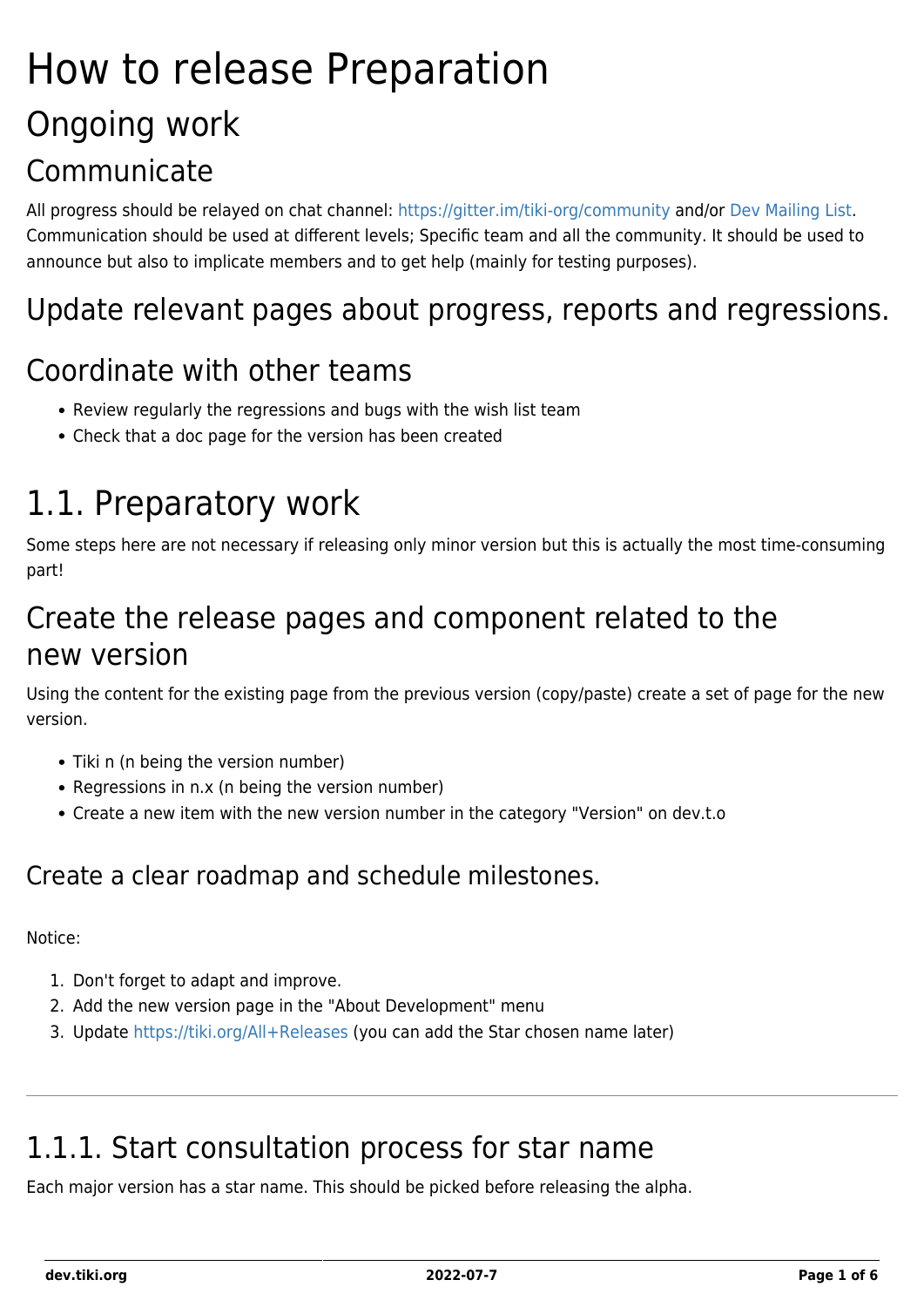# How to release Preparation Ongoing work **Communicate**

All progress should be relayed on chat channel: <https://gitter.im/tiki-org/community> and/or [Dev Mailing List.](https://dev.tiki.org/Dev-Mailing-List) Communication should be used at different levels; Specific team and all the community. It should be used to announce but also to implicate members and to get help (mainly for testing purposes).

### Update relevant pages about progress, reports and regressions.

#### Coordinate with other teams

- Review regularly the regressions and bugs with the wish list team
- Check that a doc page for the version has been created

## 1.1. Preparatory work

Some steps here are not necessary if releasing only minor version but this is actually the most time-consuming part!

### Create the release pages and component related to the new version

Using the content for the existing page from the previous version (copy/paste) create a set of page for the new version.

- Tiki n (n being the version number)
- Regressions in n.x (n being the version number)
- Create a new item with the new version number in the category "Version" on dev.t.o

#### Create a clear roadmap and schedule milestones.

#### Notice:

- 1. Don't forget to adapt and improve.
- 2. Add the new version page in the "About Development" menu
- 3. Update<https://tiki.org/All+Releases> (you can add the Star chosen name later)

## 1.1.1. Start consultation process for star name

Each major version has a star name. This should be picked before releasing the alpha.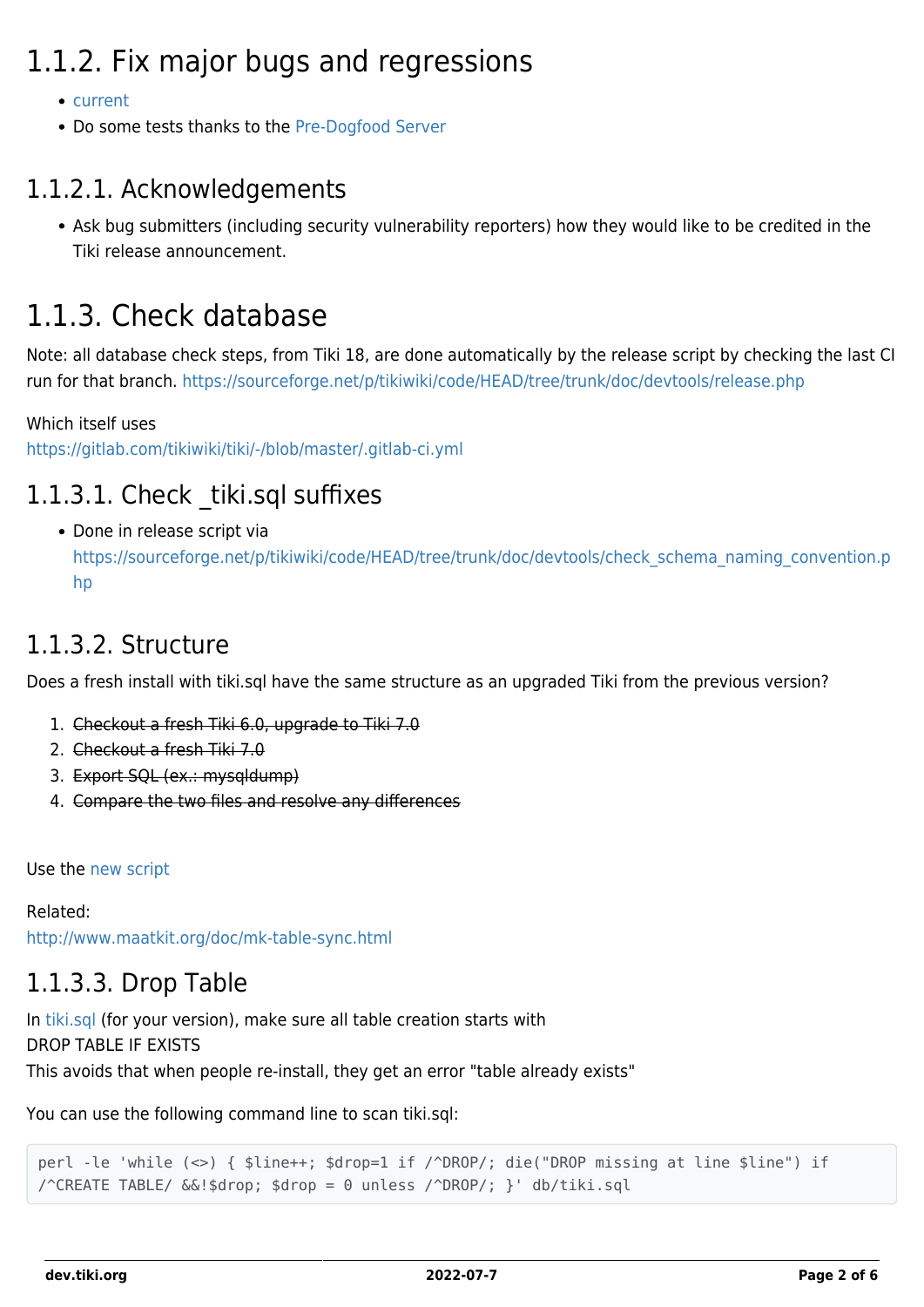## 1.1.2. Fix major bugs and regressions

- [current](https://dev.tiki.org/current)
- Do some tests thanks to the [Pre-Dogfood Server](http://tiki.org/Pre-Dogfood%20Server)

#### 1.1.2.1. Acknowledgements

Ask bug submitters (including security vulnerability reporters) how they would like to be credited in the Tiki release announcement.

### 1.1.3. Check database

Note: all database check steps, from Tiki 18, are done automatically by the release script by checking the last CI run for that branch. <https://sourceforge.net/p/tikiwiki/code/HEAD/tree/trunk/doc/devtools/release.php>

Which itself uses

<https://gitlab.com/tikiwiki/tiki/-/blob/master/.gitlab-ci.yml>

#### 1.1.3.1. Check tiki.sql suffixes

• Done in release script via [https://sourceforge.net/p/tikiwiki/code/HEAD/tree/trunk/doc/devtools/check\\_schema\\_naming\\_convention.p](https://sourceforge.net/p/tikiwiki/code/HEAD/tree/trunk/doc/devtools/check_schema_naming_convention.php) [hp](https://sourceforge.net/p/tikiwiki/code/HEAD/tree/trunk/doc/devtools/check_schema_naming_convention.php)

#### 1.1.3.2. Structure

Does a fresh install with tiki.sql have the same structure as an upgraded Tiki from the previous version?

- 1. Checkout a fresh Tiki 6.0, upgrade to Tiki 7.0
- 2. Checkout a fresh Tiki 7.0
- 3. Export SQL (ex.: mysqldump)
- 4. Compare the two files and resolve any differences

Use the [new script](https://sourceforge.net/p/tikiwiki/code/65639)

Related: <http://www.maatkit.org/doc/mk-table-sync.html>

#### 1.1.3.3. Drop Table

In [tiki.sql](https://sourceforge.net/p/tikiwiki/code/HEAD/tree/trunk/db/tiki.sql) (for your version), make sure all table creation starts with DROP TABLE IF EXISTS This avoids that when people re-install, they get an error "table already exists"

You can use the following command line to scan tiki.sql:

```
perl -le 'while (<>) { $line++; $drop=1 if /^DROP/; die("DROP missing at line $line") if
/^CREATE TABLE/ &&!$drop; $drop = 0 unless /^DROP/; }' db/tiki.sql
```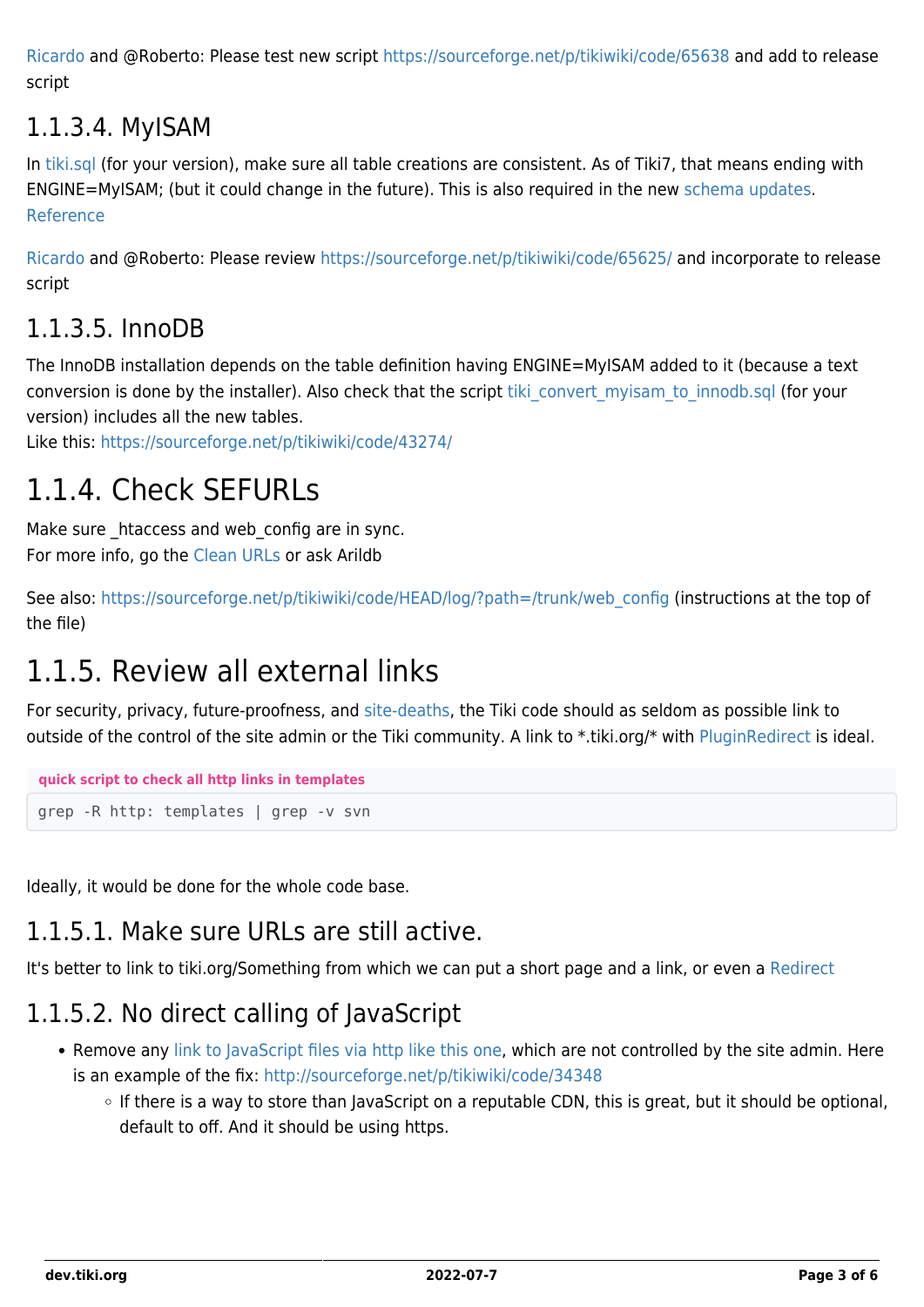[Ricardo](https://dev.tiki.org/user36) and @Roberto: Please test new script <https://sourceforge.net/p/tikiwiki/code/65638> and add to release script

#### 1.1.3.4. MyISAM

In [tiki.sql](https://sourceforge.net/p/tikiwiki/code/HEAD/tree/trunk/db/tiki.sql) (for your version), make sure all table creations are consistent. As of Tiki7, that means ending with ENGINE=MyISAM; (but it could change in the future). This is also required in the new [schema updates.](https://sourceforge.net/p/tikiwiki/code/HEAD/tree/trunk/installer/schema/) [Reference](https://dev.tiki.org/wish3790)

[Ricardo](https://dev.tiki.org/user36) and @Roberto: Please review <https://sourceforge.net/p/tikiwiki/code/65625/> and incorporate to release script

#### 1.1.3.5. InnoDB

The InnoDB installation depends on the table definition having ENGINE=MyISAM added to it (because a text conversion is done by the installer). Also check that the script tiki convert myisam to innodb.sql (for your version) includes all the new tables.

Like this: <https://sourceforge.net/p/tikiwiki/code/43274/>

### 1.1.4. Check SEFURLs

Make sure htaccess and web config are in sync. For more info, go the [Clean URLs](http://doc.tiki.org/Clean%20URLs) or ask Arildb

See also: [https://sourceforge.net/p/tikiwiki/code/HEAD/log/?path=/trunk/web\\_config](https://sourceforge.net/p/tikiwiki/code/HEAD/log/?path=/trunk/web_config) (instructions at the top of the file)

### 1.1.5. Review all external links

For security, privacy, future-proofness, and [site-deaths,](http://indiewebcamp.com/site-deaths) the Tiki code should as seldom as possible link to outside of the control of the site admin or the Tiki community. A link to \*.tiki.org/\* with [PluginRedirect](http://doc.tiki.org/PluginRedirect) is ideal.

```
quick script to check all http links in templates
grep -R http: templates | grep -v svn
```
Ideally, it would be done for the whole code base.

#### 1.1.5.1. Make sure URLs are still active.

It's better to link to tiki.org/Something from which we can put a short page and a link, or even a [Redirect](http://doc.tiki.org/PluginRedirect)

### 1.1.5.2. No direct calling of JavaScript

- Remove any [link to JavaScript files via http like this one](https://sourceforge.net/p/tikiwiki/code/31493/), which are not controlled by the site admin. Here is an example of the fix:<http://sourceforge.net/p/tikiwiki/code/34348>
	- $\circ$  If there is a way to store than JavaScript on a reputable CDN, this is great, but it should be optional, default to off. And it should be using https.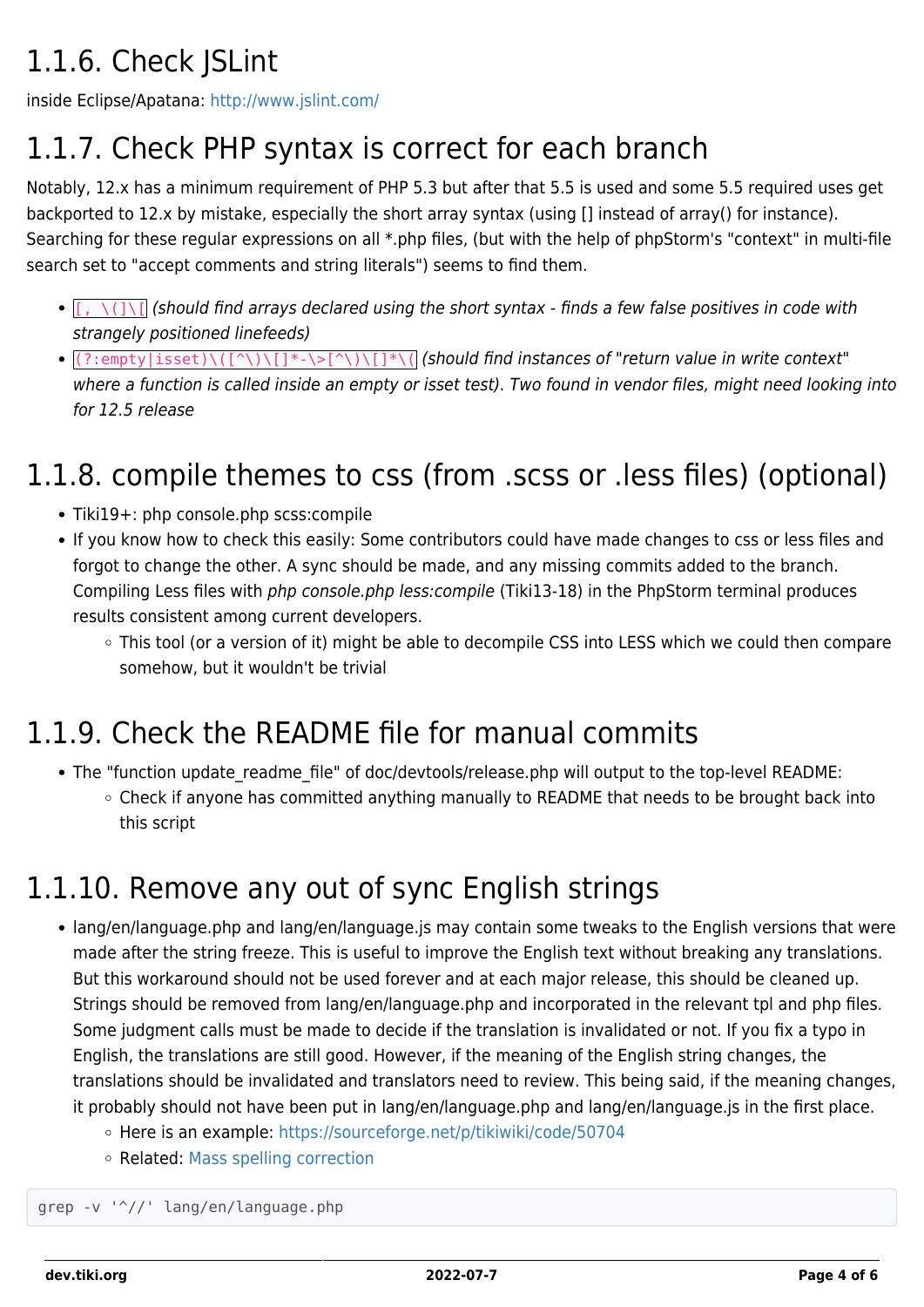## 1.1.6. Check JSLint

inside Eclipse/Apatana:<http://www.jslint.com/>

## 1.1.7. Check PHP syntax is correct for each branch

Notably, 12.x has a minimum requirement of PHP 5.3 but after that 5.5 is used and some 5.5 required uses get backported to 12.x by mistake, especially the short array syntax (using [] instead of array() for instance). Searching for these regular expressions on all \*.php files, (but with the help of phpStorm's "context" in multi-file search set to "accept comments and string literals") seems to find them.

- $\cdot$   $[$ ,  $\setminus$   $\setminus$   $]$  (should find arrays declared using the short syntax finds a few false positives in code with strangely positioned linefeeds)
- $\bullet$   $(?\:empty)$   $(\{?\}:empty)$   $(\{^\wedge\}\setminus\{]\}^*$   $\bullet$   $(\{^\wedge\}\setminus\{]\}^*\setminus\{^\wedge\}\setminus\{^\wedge\})$  (should find instances of "return value in write context" where a function is called inside an empty or isset test). Two found in vendor files, might need looking into for 12.5 release

## 1.1.8. compile themes to css (from .scss or .less files) (optional)

- Tiki19+: php console.php scss:compile
- If you know how to check this easily: Some contributors could have made changes to css or less files and forgot to change the other. A sync should be made, and any missing commits added to the branch. Compiling Less files with php console.php less:compile (Tiki13-18) in the PhpStorm terminal produces results consistent among current developers.
	- o This tool (or a version of it) might be able to decompile CSS into LESS which we could then compare somehow, but it wouldn't be trivial

### 1.1.9. Check the README file for manual commits

- The "function update readme file" of doc/devtools/release.php will output to the top-level README:
	- Check if anyone has committed anything manually to README that needs to be brought back into this script

### 1.1.10. Remove any out of sync English strings

- lang/en/language.php and lang/en/language.js may contain some tweaks to the English versions that were made after the string freeze. This is useful to improve the English text without breaking any translations. But this workaround should not be used forever and at each major release, this should be cleaned up. Strings should be removed from lang/en/language.php and incorporated in the relevant tpl and php files. Some judgment calls must be made to decide if the translation is invalidated or not. If you fix a typo in English, the translations are still good. However, if the meaning of the English string changes, the translations should be invalidated and translators need to review. This being said, if the meaning changes, it probably should not have been put in lang/en/language.php and lang/en/language.js in the first place.
	- Here is an example: <https://sourceforge.net/p/tikiwiki/code/50704>
	- Related: [Mass spelling correction](https://dev.tiki.org/Mass-spelling-correction)

grep -v '^//' lang/en/language.php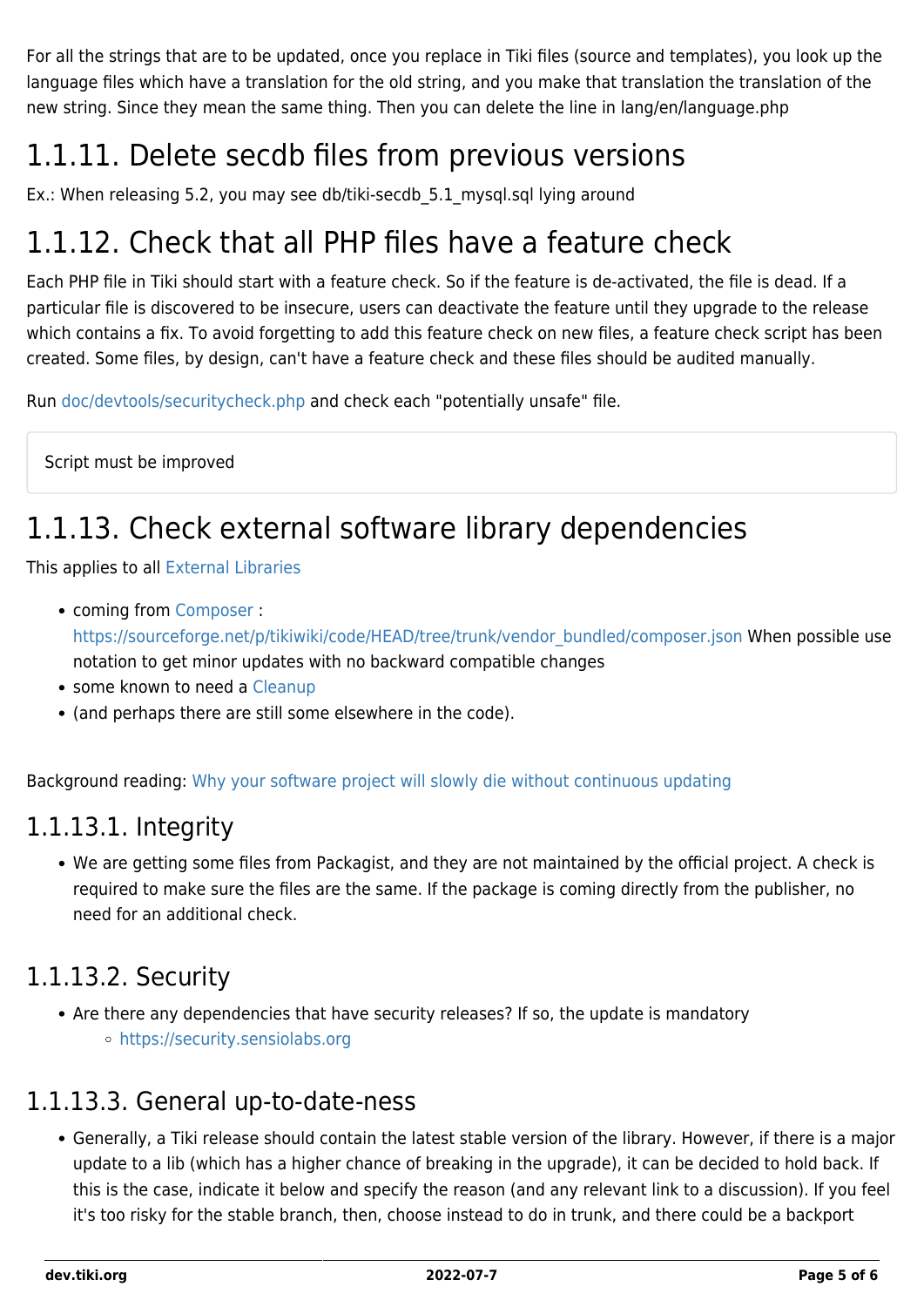For all the strings that are to be updated, once you replace in Tiki files (source and templates), you look up the language files which have a translation for the old string, and you make that translation the translation of the new string. Since they mean the same thing. Then you can delete the line in lang/en/language.php

## 1.1.11. Delete secdb files from previous versions

Ex.: When releasing 5.2, you may see db/tiki-secdb\_5.1\_mysql.sql lying around

### 1.1.12. Check that all PHP files have a feature check

Each PHP file in Tiki should start with a feature check. So if the feature is de-activated, the file is dead. If a particular file is discovered to be insecure, users can deactivate the feature until they upgrade to the release which contains a fix. To avoid forgetting to add this feature check on new files, a feature check script has been created. Some files, by design, can't have a feature check and these files should be audited manually.

Run [doc/devtools/securitycheck.php](https://sourceforge.net/p/tikiwiki/code/HEAD/tree/trunk/doc/devtools/securitycheck.php) and check each "potentially unsafe" file.

Script must be improved

### 1.1.13. Check external software library dependencies

This applies to all [External Libraries](https://dev.tiki.org/External-Libraries)

- coming from [Composer](https://dev.tiki.org/Composer) : [https://sourceforge.net/p/tikiwiki/code/HEAD/tree/trunk/vendor\\_bundled/composer.json](https://sourceforge.net/p/tikiwiki/code/HEAD/tree/trunk/vendor_bundled/composer.json) When possible use notation to get minor updates with no backward compatible changes
- some known to need a [Cleanup](https://dev.tiki.org/Cleanup)
- (and perhaps there are still some elsewhere in the code).

Background reading: [Why your software project will slowly die without continuous updating](http://blog.versioneye.com/2014/02/18/why-your-software-project-will-slowly-die-without-continuous-updating/)

#### 1.1.13.1. Integrity

We are getting some files from Packagist, and they are not maintained by the official project. A check is required to make sure the files are the same. If the package is coming directly from the publisher, no need for an additional check.

#### 1.1.13.2. Security

• Are there any dependencies that have security releases? If so, the update is mandatory <https://security.sensiolabs.org>

#### 1.1.13.3. General up-to-date-ness

Generally, a Tiki release should contain the latest stable version of the library. However, if there is a major update to a lib (which has a higher chance of breaking in the upgrade), it can be decided to hold back. If this is the case, indicate it below and specify the reason (and any relevant link to a discussion). If you feel it's too risky for the stable branch, then, choose instead to do in trunk, and there could be a backport